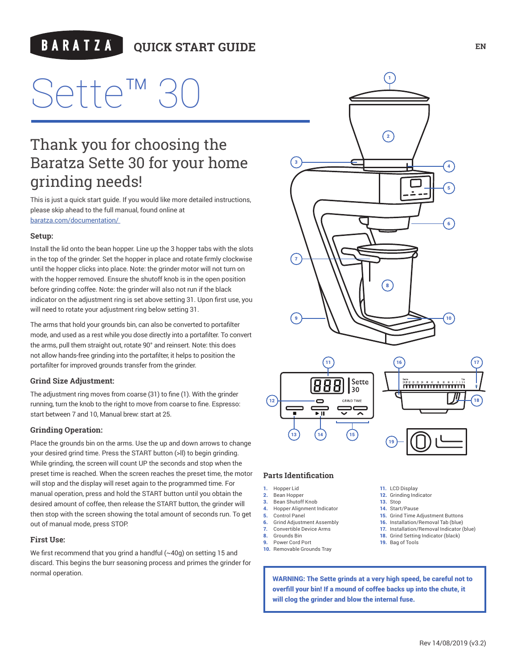## **QUICK START GUIDE**

# Sette™

## Thank you for choosing the Baratza Sette 30 for your home grinding needs!

This is just a quick start guide. If you would like more detailed instructions, please skip ahead to the full manual, found online at baratza.com/documentation/

#### **Setup:**

Install the lid onto the bean hopper. Line up the 3 hopper tabs with the slots in the top of the grinder. Set the hopper in place and rotate firmly clockwise until the hopper clicks into place. Note: the grinder motor will not turn on with the hopper removed. Ensure the shutoff knob is in the open position before grinding coffee. Note: the grinder will also not run if the black indicator on the adjustment ring is set above setting 31. Upon first use, you will need to rotate your adjustment ring below setting 31.

The arms that hold your grounds bin, can also be converted to portafilter mode, and used as a rest while you dose directly into a portafilter. To convert the arms, pull them straight out, rotate 90° and reinsert. Note: this does not allow hands-free grinding into the portafilter, it helps to position the portafilter for improved grounds transfer from the grinder.

#### **Grind Size Adjustment:**

The adjustment ring moves from coarse (31) to fine (1). With the grinder running, turn the knob to the right to move from coarse to fine. Espresso: start between 7 and 10, Manual brew: start at 25.

#### **Grinding Operation:**

Place the grounds bin on the arms. Use the up and down arrows to change your desired grind time. Press the START button (>ll) to begin grinding. While grinding, the screen will count UP the seconds and stop when the preset time is reached. When the screen reaches the preset time, the motor will stop and the display will reset again to the programmed time. For manual operation, press and hold the START button until you obtain the desired amount of coffee, then release the START button, the grinder will then stop with the screen showing the total amount of seconds run. To get out of manual mode, press STOP.

#### **First Use:**

We first recommend that you grind a handful (~40g) on setting 15 and discard. This begins the burr seasoning process and primes the grinder for normal operation.







### **Parts Identification**

- 1. Hopper Lid
- 2. Bean Hopper<br>3. Bean Shutoff Bean Shutoff Knob
- 4. Hopper Alignment Indicator
- 5. Control Panel
- 6. Grind Adjustment Assembly 7. Convertible Device Arms
- 8. Grounds Bin
- 9. Power Cord Port
- 10. Removable Grounds Tray
- 11. LCD Display
- 12. Grinding Indicator
- 13. Stop

 $\sqrt{2}$ 

1

- 14. Start/Pause
- 15. Grind Time Adjustment Buttons
- 16. Installation/Removal Tab (blue)
- 17. Installation/Removal Indicator (blue) 18. Grind Setting Indicator (black)
- 19. Bag of Tools

WARNING: The Sette grinds at a very high speed, be careful not to overfill your bin! If a mound of coffee backs up into the chute, it will clog the grinder and blow the internal fuse.

5

4

6

10

**EN**